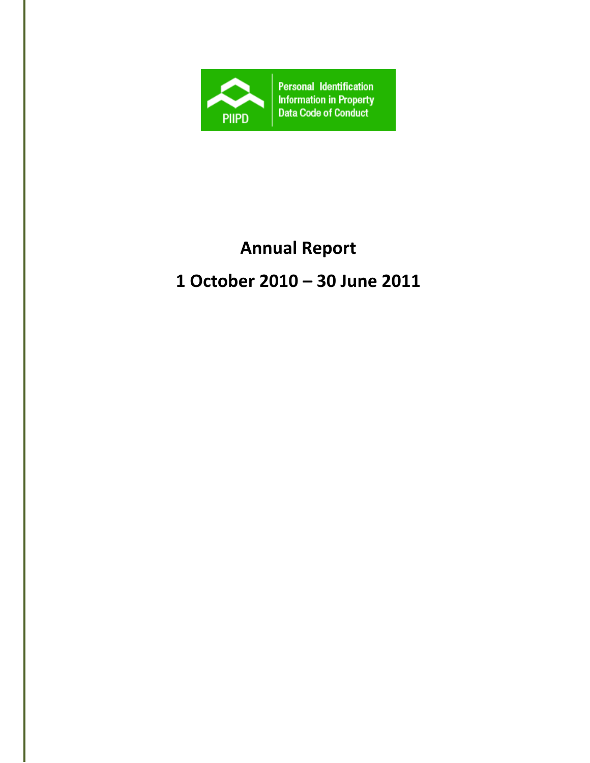

# **Annual Report**

# **1 October 2010 – 30 June 2011**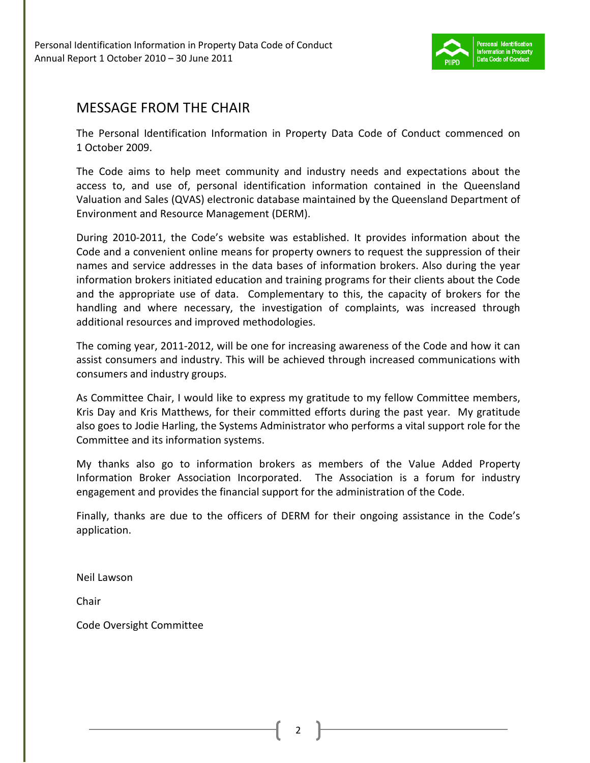

### MESSAGE FROM THE CHAIR

The Personal Identification Information in Property Data Code of Conduct commenced on 1 October 2009.

The Code aims to help meet community and industry needs and expectations about the access to, and use of, personal identification information contained in the Queensland Valuation and Sales (QVAS) electronic database maintained by the Queensland Department of Environment and Resource Management (DERM).

During 2010-2011, the Code's website was established. It provides information about the Code and a convenient online means for property owners to request the suppression of their names and service addresses in the data bases of information brokers. Also during the year information brokers initiated education and training programs for their clients about the Code and the appropriate use of data. Complementary to this, the capacity of brokers for the handling and where necessary, the investigation of complaints, was increased through additional resources and improved methodologies.

The coming year, 2011-2012, will be one for increasing awareness of the Code and how it can assist consumers and industry. This will be achieved through increased communications with consumers and industry groups.

As Committee Chair, I would like to express my gratitude to my fellow Committee members, Kris Day and Kris Matthews, for their committed efforts during the past year. My gratitude also goes to Jodie Harling, the Systems Administrator who performs a vital support role for the Committee and its information systems.

My thanks also go to information brokers as members of the Value Added Property Information Broker Association Incorporated. The Association is a forum for industry engagement and provides the financial support for the administration of the Code.

Finally, thanks are due to the officers of DERM for their ongoing assistance in the Code's application.

Neil Lawson

Chair

Code Oversight Committee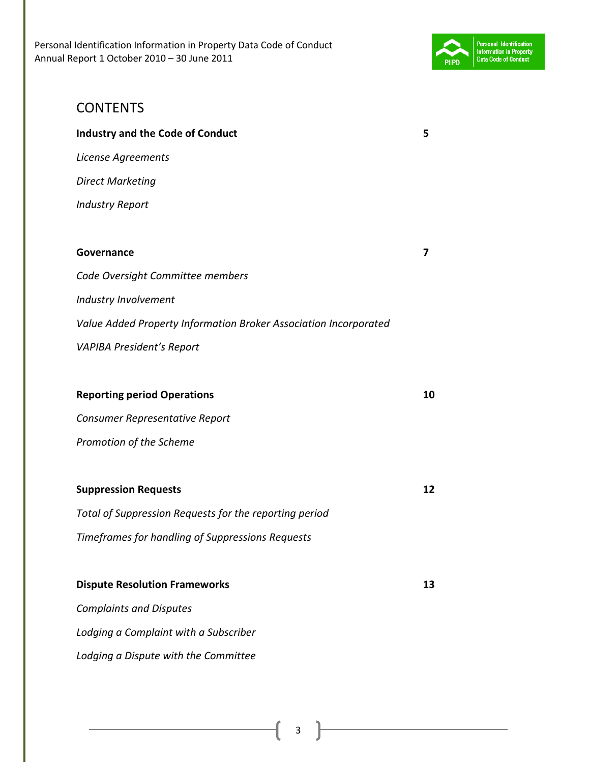

# CONTENTS **Industry and the Code of Conduct 5**  *License Agreements Direct Marketing*

*Industry Report* 

# **Governance 7**  *Code Oversight Committee members Industry Involvement Value Added Property Information Broker Association Incorporated VAPIBA President's Report*

#### **Reporting period Operations 10 and 10 and 10 and 10 and 10 and 10 and 10 and 10 and 10 and 10 and 10 and 10 and 10 and 10 and 10 and 10 and 10 and 10 and 10 and 10 and 10 and 10 and 10 and 10 and 10 and 10 and 10 and 10 a**

*Consumer Representative Report Promotion of the Scheme* 

#### **Suppression Requests** 12

*Total of Suppression Requests for the reporting period Timeframes for handling of Suppressions Requests* 

# **Dispute Resolution Frameworks** 13 *Complaints and Disputes Lodging a Complaint with a Subscriber*

*Lodging a Dispute with the Committee*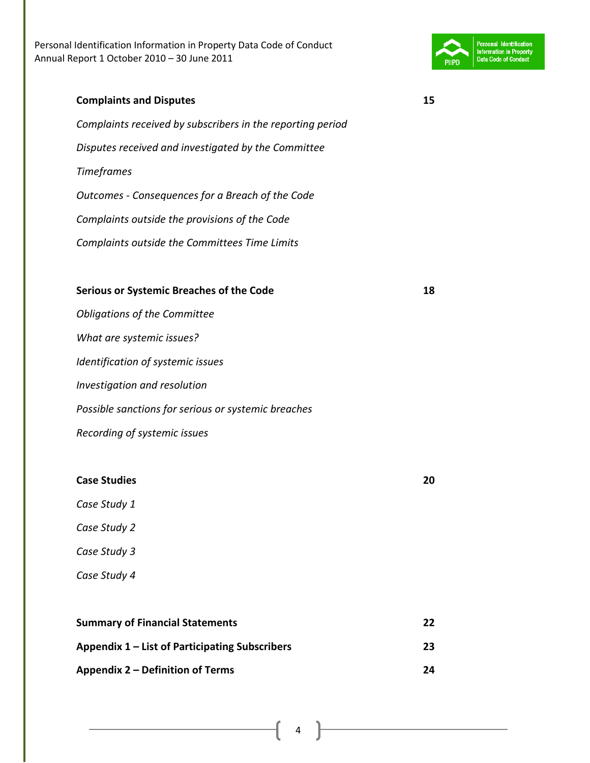

*Complaints received by subscribers in the reporting period Disputes received and investigated by the Committee Timeframes Outcomes - Consequences for a Breach of the Code Complaints outside the provisions of the Code Complaints outside the Committees Time Limits*  **Serious or Systemic Breaches of the Code 18**  *Obligations of the Committee What are systemic issues? Identification of systemic issues Investigation and resolution Possible sanctions for serious or systemic breaches* 

*Recording of systemic issues* 

| Case Study 1                                   |    |
|------------------------------------------------|----|
| Case Study 2                                   |    |
| Case Study 3                                   |    |
| Case Study 4                                   |    |
|                                                |    |
| <b>Summary of Financial Statements</b>         | 22 |
| Appendix 1 – List of Participating Subscribers | 23 |
| Appendix 2 – Definition of Terms               | 24 |

**Case Studies 20**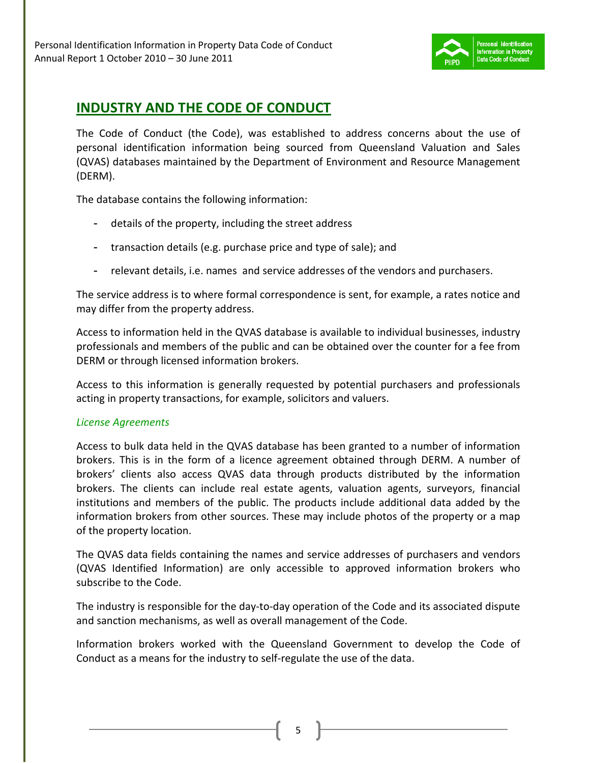

## **INDUSTRY AND THE CODE OF CONDUCT**

The Code of Conduct (the Code), was established to address concerns about the use of personal identification information being sourced from Queensland Valuation and Sales (QVAS) databases maintained by the Department of Environment and Resource Management (DERM).

The database contains the following information:

- details of the property, including the street address
- transaction details (e.g. purchase price and type of sale); and
- relevant details, i.e. names and service addresses of the vendors and purchasers.

The service address is to where formal correspondence is sent, for example, a rates notice and may differ from the property address.

Access to information held in the QVAS database is available to individual businesses, industry professionals and members of the public and can be obtained over the counter for a fee from DERM or through licensed information brokers.

Access to this information is generally requested by potential purchasers and professionals acting in property transactions, for example, solicitors and valuers.

#### *License Agreements*

Access to bulk data held in the QVAS database has been granted to a number of information brokers. This is in the form of a licence agreement obtained through DERM. A number of brokers' clients also access QVAS data through products distributed by the information brokers. The clients can include real estate agents, valuation agents, surveyors, financial institutions and members of the public. The products include additional data added by the information brokers from other sources. These may include photos of the property or a map of the property location.

The QVAS data fields containing the names and service addresses of purchasers and vendors (QVAS Identified Information) are only accessible to approved information brokers who subscribe to the Code.

The industry is responsible for the day-to-day operation of the Code and its associated dispute and sanction mechanisms, as well as overall management of the Code.

Information brokers worked with the Queensland Government to develop the Code of Conduct as a means for the industry to self-regulate the use of the data.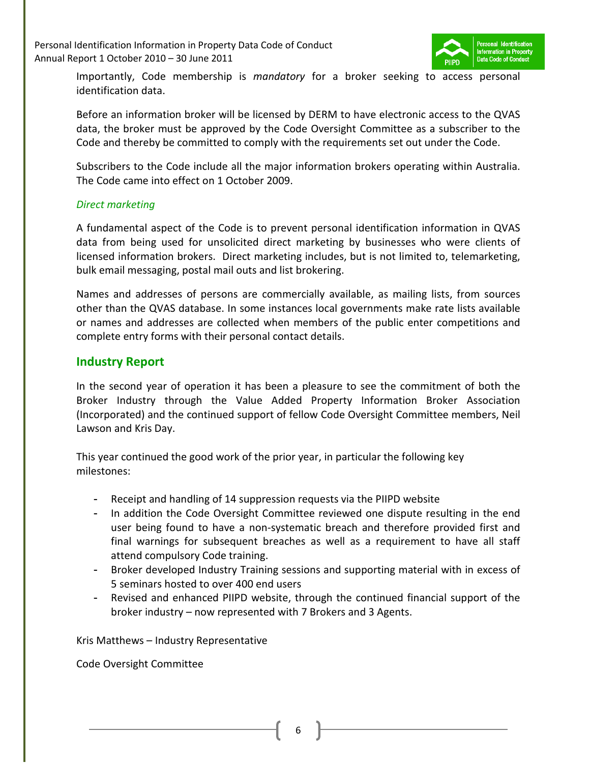Personal Identification Information in Property Data Code of Conduct Annual Report 1 October 2010 – 30 June 2011



Importantly, Code membership is *mandatory* for a broker seeking to access personal identification data.

Before an information broker will be licensed by DERM to have electronic access to the QVAS data, the broker must be approved by the Code Oversight Committee as a subscriber to the Code and thereby be committed to comply with the requirements set out under the Code.

Subscribers to the Code include all the major information brokers operating within Australia. The Code came into effect on 1 October 2009.

#### *Direct marketing*

A fundamental aspect of the Code is to prevent personal identification information in QVAS data from being used for unsolicited direct marketing by businesses who were clients of licensed information brokers. Direct marketing includes, but is not limited to, telemarketing, bulk email messaging, postal mail outs and list brokering.

Names and addresses of persons are commercially available, as mailing lists, from sources other than the QVAS database. In some instances local governments make rate lists available or names and addresses are collected when members of the public enter competitions and complete entry forms with their personal contact details.

#### **Industry Report**

In the second year of operation it has been a pleasure to see the commitment of both the Broker Industry through the Value Added Property Information Broker Association (Incorporated) and the continued support of fellow Code Oversight Committee members, Neil Lawson and Kris Day.

This year continued the good work of the prior year, in particular the following key milestones:

- Receipt and handling of 14 suppression requests via the PIIPD website
- In addition the Code Oversight Committee reviewed one dispute resulting in the end user being found to have a non-systematic breach and therefore provided first and final warnings for subsequent breaches as well as a requirement to have all staff attend compulsory Code training.
- Broker developed Industry Training sessions and supporting material with in excess of 5 seminars hosted to over 400 end users
- Revised and enhanced PIIPD website, through the continued financial support of the broker industry – now represented with 7 Brokers and 3 Agents.

Kris Matthews – Industry Representative

Code Oversight Committee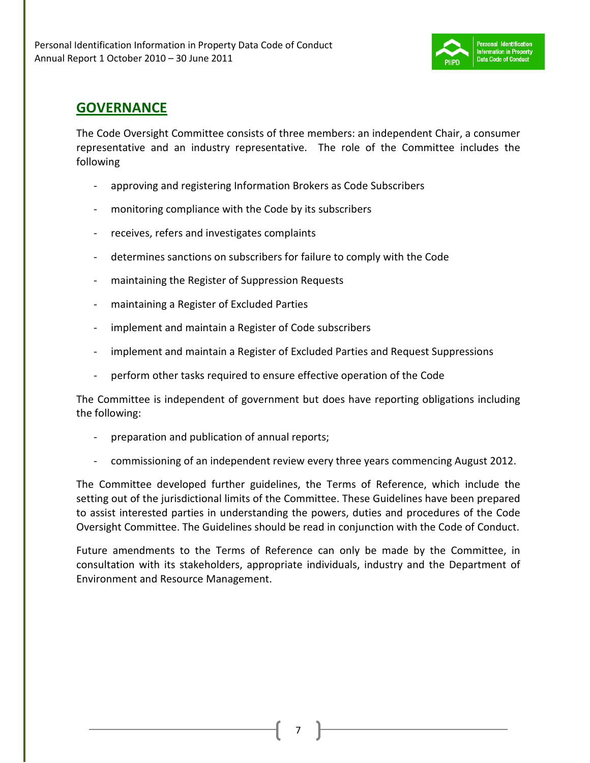

## **GOVERNANCE**

The Code Oversight Committee consists of three members: an independent Chair, a consumer representative and an industry representative. The role of the Committee includes the following

- approving and registering Information Brokers as Code Subscribers
- monitoring compliance with the Code by its subscribers
- receives, refers and investigates complaints
- determines sanctions on subscribers for failure to comply with the Code
- maintaining the Register of Suppression Requests
- maintaining a Register of Excluded Parties
- implement and maintain a Register of Code subscribers
- implement and maintain a Register of Excluded Parties and Request Suppressions
- perform other tasks required to ensure effective operation of the Code

The Committee is independent of government but does have reporting obligations including the following:

- preparation and publication of annual reports;
- commissioning of an independent review every three years commencing August 2012.

The Committee developed further guidelines, the Terms of Reference, which include the setting out of the jurisdictional limits of the Committee. These Guidelines have been prepared to assist interested parties in understanding the powers, duties and procedures of the Code Oversight Committee. The Guidelines should be read in conjunction with the Code of Conduct.

Future amendments to the Terms of Reference can only be made by the Committee, in consultation with its stakeholders, appropriate individuals, industry and the Department of Environment and Resource Management.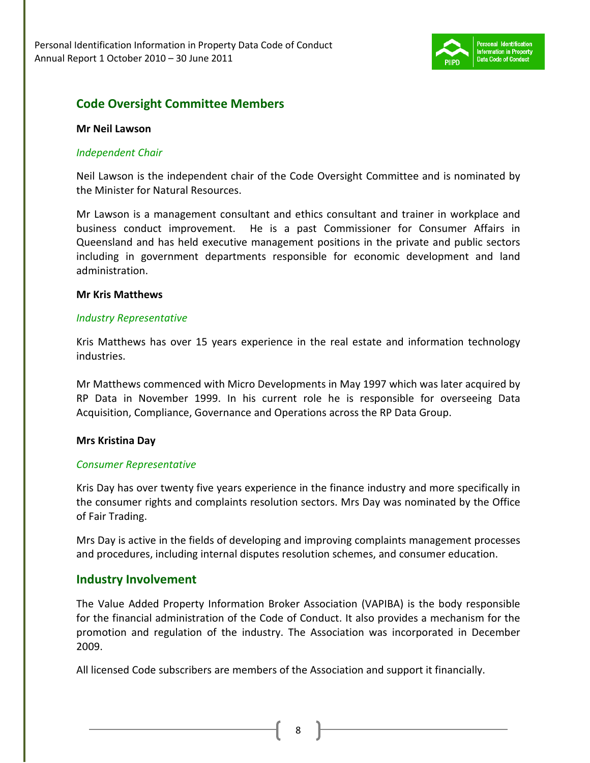

### **Code Oversight Committee Members**

#### **Mr Neil Lawson**

#### *Independent Chair*

Neil Lawson is the independent chair of the Code Oversight Committee and is nominated by the Minister for Natural Resources.

Mr Lawson is a management consultant and ethics consultant and trainer in workplace and business conduct improvement. He is a past Commissioner for Consumer Affairs in Queensland and has held executive management positions in the private and public sectors including in government departments responsible for economic development and land administration.

#### **Mr Kris Matthews**

#### *Industry Representative*

Kris Matthews has over 15 years experience in the real estate and information technology industries.

Mr Matthews commenced with Micro Developments in May 1997 which was later acquired by RP Data in November 1999. In his current role he is responsible for overseeing Data Acquisition, Compliance, Governance and Operations across the RP Data Group.

#### **Mrs Kristina Day**

#### *Consumer Representative*

Kris Day has over twenty five years experience in the finance industry and more specifically in the consumer rights and complaints resolution sectors. Mrs Day was nominated by the Office of Fair Trading.

Mrs Day is active in the fields of developing and improving complaints management processes and procedures, including internal disputes resolution schemes, and consumer education.

#### **Industry Involvement**

The Value Added Property Information Broker Association (VAPIBA) is the body responsible for the financial administration of the Code of Conduct. It also provides a mechanism for the promotion and regulation of the industry. The Association was incorporated in December 2009.

All licensed Code subscribers are members of the Association and support it financially.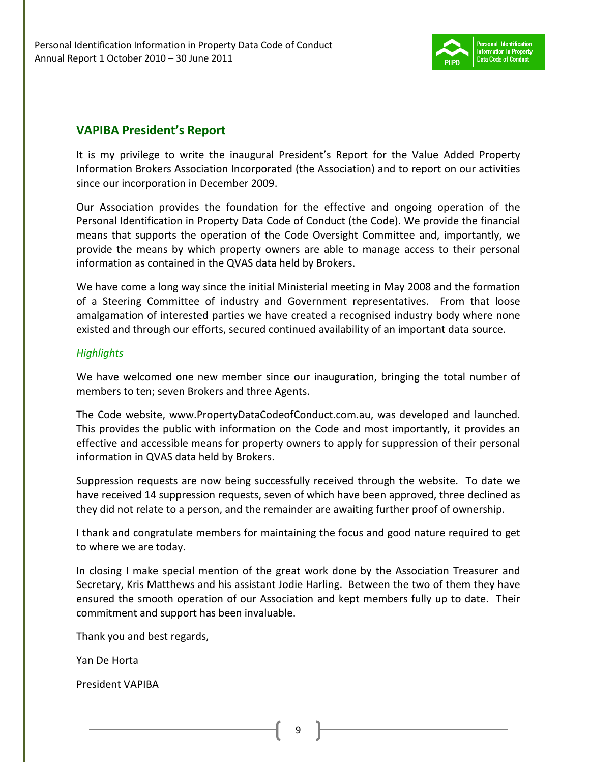

### **VAPIBA President's Report**

It is my privilege to write the inaugural President's Report for the Value Added Property Information Brokers Association Incorporated (the Association) and to report on our activities since our incorporation in December 2009.

Our Association provides the foundation for the effective and ongoing operation of the Personal Identification in Property Data Code of Conduct (the Code). We provide the financial means that supports the operation of the Code Oversight Committee and, importantly, we provide the means by which property owners are able to manage access to their personal information as contained in the QVAS data held by Brokers.

We have come a long way since the initial Ministerial meeting in May 2008 and the formation of a Steering Committee of industry and Government representatives. From that loose amalgamation of interested parties we have created a recognised industry body where none existed and through our efforts, secured continued availability of an important data source.

#### *Highlights*

We have welcomed one new member since our inauguration, bringing the total number of members to ten; seven Brokers and three Agents.

The Code website, www.PropertyDataCodeofConduct.com.au, was developed and launched. This provides the public with information on the Code and most importantly, it provides an effective and accessible means for property owners to apply for suppression of their personal information in QVAS data held by Brokers.

Suppression requests are now being successfully received through the website. To date we have received 14 suppression requests, seven of which have been approved, three declined as they did not relate to a person, and the remainder are awaiting further proof of ownership.

I thank and congratulate members for maintaining the focus and good nature required to get to where we are today.

In closing I make special mention of the great work done by the Association Treasurer and Secretary, Kris Matthews and his assistant Jodie Harling. Between the two of them they have ensured the smooth operation of our Association and kept members fully up to date. Their commitment and support has been invaluable.

Thank you and best regards,

Yan De Horta

President VAPIBA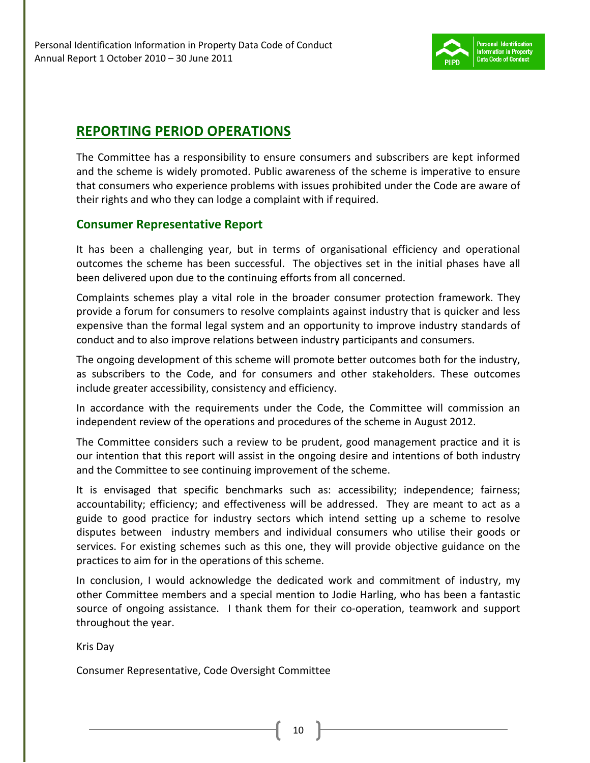

## **REPORTING PERIOD OPERATIONS**

The Committee has a responsibility to ensure consumers and subscribers are kept informed and the scheme is widely promoted. Public awareness of the scheme is imperative to ensure that consumers who experience problems with issues prohibited under the Code are aware of their rights and who they can lodge a complaint with if required.

### **Consumer Representative Report**

It has been a challenging year, but in terms of organisational efficiency and operational outcomes the scheme has been successful. The objectives set in the initial phases have all been delivered upon due to the continuing efforts from all concerned.

Complaints schemes play a vital role in the broader consumer protection framework. They provide a forum for consumers to resolve complaints against industry that is quicker and less expensive than the formal legal system and an opportunity to improve industry standards of conduct and to also improve relations between industry participants and consumers.

The ongoing development of this scheme will promote better outcomes both for the industry, as subscribers to the Code, and for consumers and other stakeholders. These outcomes include greater accessibility, consistency and efficiency.

In accordance with the requirements under the Code, the Committee will commission an independent review of the operations and procedures of the scheme in August 2012.

The Committee considers such a review to be prudent, good management practice and it is our intention that this report will assist in the ongoing desire and intentions of both industry and the Committee to see continuing improvement of the scheme.

It is envisaged that specific benchmarks such as: accessibility; independence; fairness; accountability; efficiency; and effectiveness will be addressed. They are meant to act as a guide to good practice for industry sectors which intend setting up a scheme to resolve disputes between industry members and individual consumers who utilise their goods or services. For existing schemes such as this one, they will provide objective guidance on the practices to aim for in the operations of this scheme.

In conclusion, I would acknowledge the dedicated work and commitment of industry, my other Committee members and a special mention to Jodie Harling, who has been a fantastic source of ongoing assistance. I thank them for their co-operation, teamwork and support throughout the year.

Kris Day

Consumer Representative, Code Oversight Committee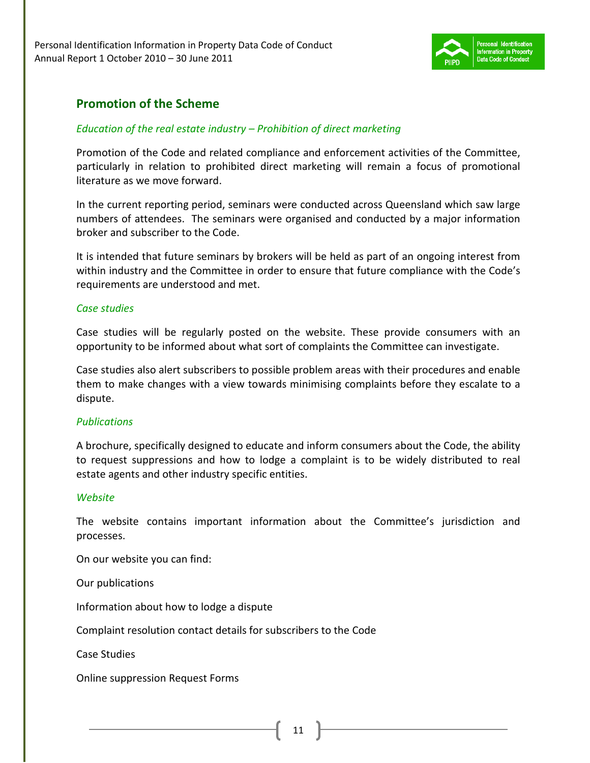

### **Promotion of the Scheme**

#### *Education of the real estate industry – Prohibition of direct marketing*

Promotion of the Code and related compliance and enforcement activities of the Committee, particularly in relation to prohibited direct marketing will remain a focus of promotional literature as we move forward.

In the current reporting period, seminars were conducted across Queensland which saw large numbers of attendees. The seminars were organised and conducted by a major information broker and subscriber to the Code.

It is intended that future seminars by brokers will be held as part of an ongoing interest from within industry and the Committee in order to ensure that future compliance with the Code's requirements are understood and met.

#### *Case studies*

Case studies will be regularly posted on the website. These provide consumers with an opportunity to be informed about what sort of complaints the Committee can investigate.

Case studies also alert subscribers to possible problem areas with their procedures and enable them to make changes with a view towards minimising complaints before they escalate to a dispute.

#### *Publications*

A brochure, specifically designed to educate and inform consumers about the Code, the ability to request suppressions and how to lodge a complaint is to be widely distributed to real estate agents and other industry specific entities.

#### *Website*

The website contains important information about the Committee's jurisdiction and processes.

On our website you can find:

Our publications

Information about how to lodge a dispute

Complaint resolution contact details for subscribers to the Code

Case Studies

Online suppression Request Forms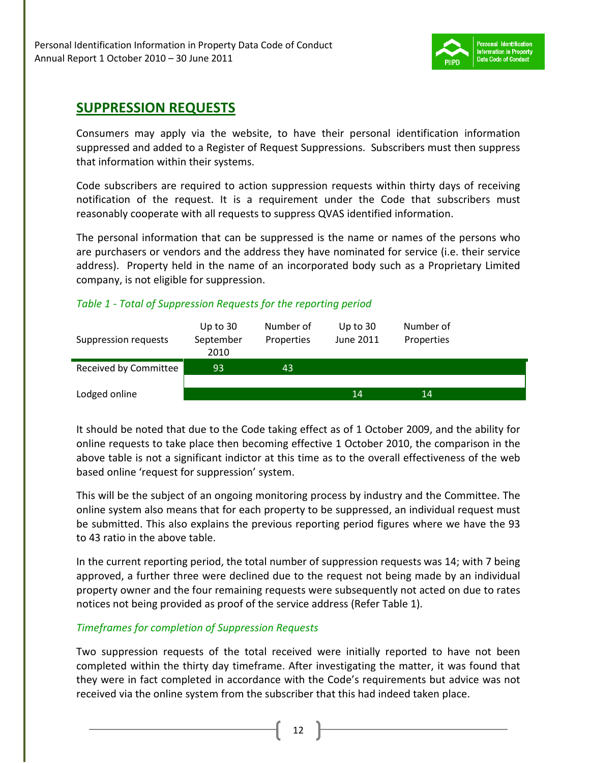

## **SUPPRESSION REQUESTS**

Consumers may apply via the website, to have their personal identification information suppressed and added to a Register of Request Suppressions. Subscribers must then suppress that information within their systems.

Code subscribers are required to action suppression requests within thirty days of receiving notification of the request. It is a requirement under the Code that subscribers must reasonably cooperate with all requests to suppress QVAS identified information.

The personal information that can be suppressed is the name or names of the persons who are purchasers or vendors and the address they have nominated for service (i.e. their service address). Property held in the name of an incorporated body such as a Proprietary Limited company, is not eligible for suppression.

#### *Table 1 - Total of Suppression Requests for the reporting period*

| Suppression requests  | Up to $30$<br>September<br>2010 | Number of<br>Properties | Up to $30$<br>June 2011 | Number of<br>Properties |  |
|-----------------------|---------------------------------|-------------------------|-------------------------|-------------------------|--|
| Received by Committee | 93                              | 43                      |                         |                         |  |
| Lodged online         |                                 |                         | 14                      | 14                      |  |

It should be noted that due to the Code taking effect as of 1 October 2009, and the ability for online requests to take place then becoming effective 1 October 2010, the comparison in the above table is not a significant indictor at this time as to the overall effectiveness of the web based online 'request for suppression' system.

This will be the subject of an ongoing monitoring process by industry and the Committee. The online system also means that for each property to be suppressed, an individual request must be submitted. This also explains the previous reporting period figures where we have the 93 to 43 ratio in the above table.

In the current reporting period, the total number of suppression requests was 14; with 7 being approved, a further three were declined due to the request not being made by an individual property owner and the four remaining requests were subsequently not acted on due to rates notices not being provided as proof of the service address (Refer Table 1).

#### *Timeframes for completion of Suppression Requests*

Two suppression requests of the total received were initially reported to have not been completed within the thirty day timeframe. After investigating the matter, it was found that they were in fact completed in accordance with the Code's requirements but advice was not received via the online system from the subscriber that this had indeed taken place.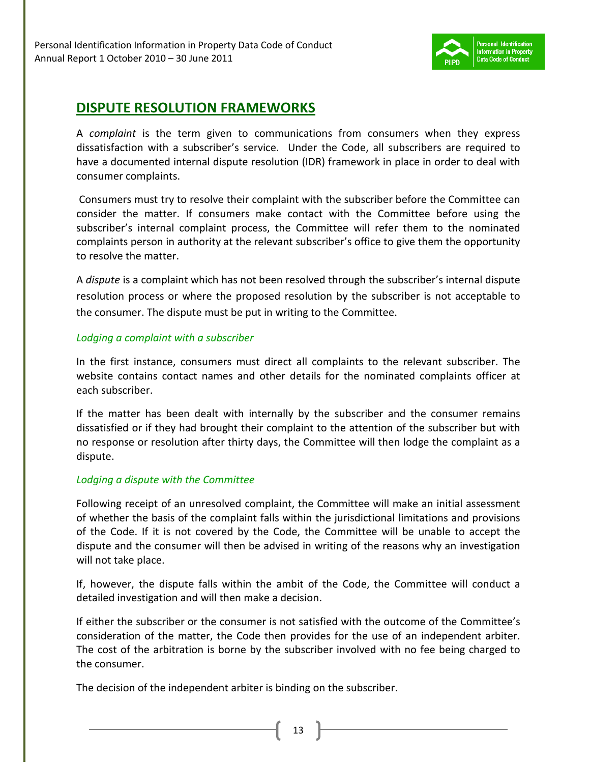

## **DISPUTE RESOLUTION FRAMEWORKS**

A *complaint* is the term given to communications from consumers when they express dissatisfaction with a subscriber's service. Under the Code, all subscribers are required to have a documented internal dispute resolution (IDR) framework in place in order to deal with consumer complaints.

 Consumers must try to resolve their complaint with the subscriber before the Committee can consider the matter. If consumers make contact with the Committee before using the subscriber's internal complaint process, the Committee will refer them to the nominated complaints person in authority at the relevant subscriber's office to give them the opportunity to resolve the matter.

A *dispute* is a complaint which has not been resolved through the subscriber's internal dispute resolution process or where the proposed resolution by the subscriber is not acceptable to the consumer. The dispute must be put in writing to the Committee.

#### *Lodging a complaint with a subscriber*

In the first instance, consumers must direct all complaints to the relevant subscriber. The website contains contact names and other details for the nominated complaints officer at each subscriber.

If the matter has been dealt with internally by the subscriber and the consumer remains dissatisfied or if they had brought their complaint to the attention of the subscriber but with no response or resolution after thirty days, the Committee will then lodge the complaint as a dispute.

#### *Lodging a dispute with the Committee*

Following receipt of an unresolved complaint, the Committee will make an initial assessment of whether the basis of the complaint falls within the jurisdictional limitations and provisions of the Code. If it is not covered by the Code, the Committee will be unable to accept the dispute and the consumer will then be advised in writing of the reasons why an investigation will not take place.

If, however, the dispute falls within the ambit of the Code, the Committee will conduct a detailed investigation and will then make a decision.

If either the subscriber or the consumer is not satisfied with the outcome of the Committee's consideration of the matter, the Code then provides for the use of an independent arbiter. The cost of the arbitration is borne by the subscriber involved with no fee being charged to the consumer.

The decision of the independent arbiter is binding on the subscriber.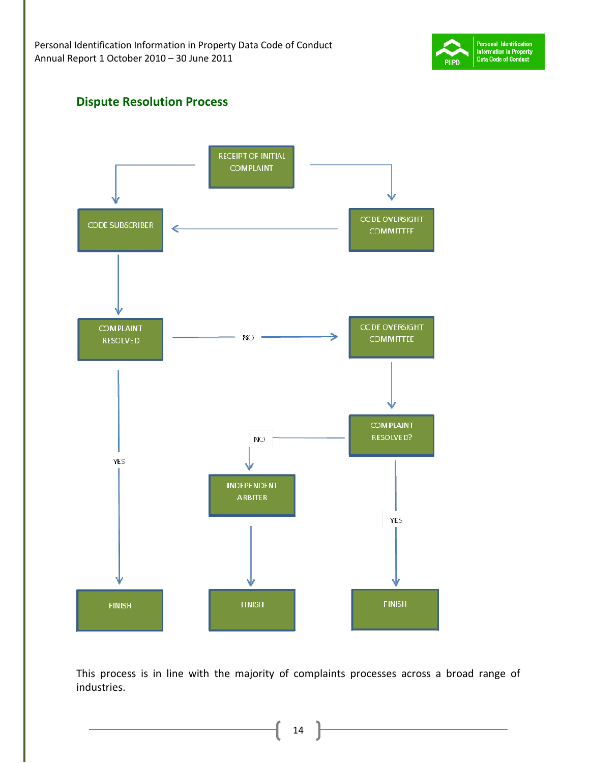

### **Dispute Resolution Process**



This process is in line with the majority of complaints processes across a broad range of industries.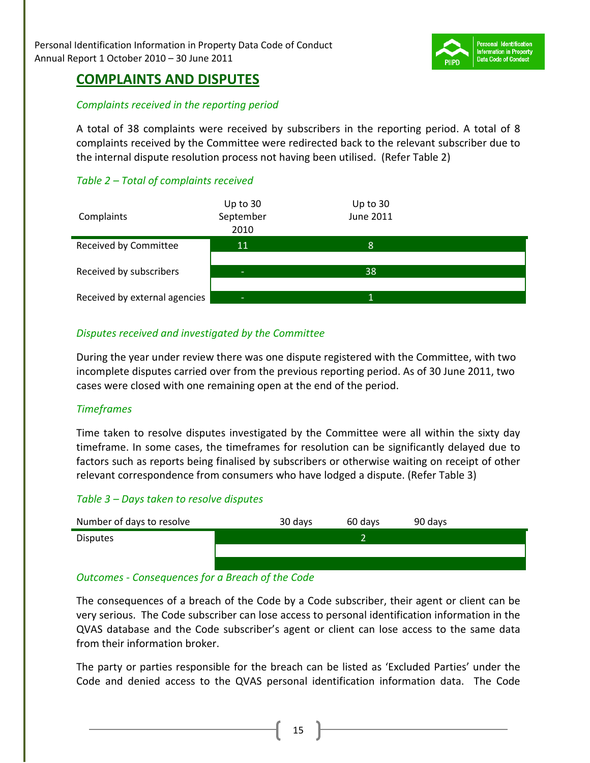

### **COMPLAINTS AND DISPUTES**

#### *Complaints received in the reporting period*

A total of 38 complaints were received by subscribers in the reporting period. A total of 8 complaints received by the Committee were redirected back to the relevant subscriber due to the internal dispute resolution process not having been utilised. (Refer Table 2)

### *Table 2 – Total of complaints received*

| Complaints                    | Up to $30$<br>September<br>2010 | Up to 30<br><b>June 2011</b> |  |
|-------------------------------|---------------------------------|------------------------------|--|
| Received by Committee         | 11                              | 8                            |  |
| Received by subscribers       | -                               | 38                           |  |
| Received by external agencies | -                               |                              |  |

#### *Disputes received and investigated by the Committee*

During the year under review there was one dispute registered with the Committee, with two incomplete disputes carried over from the previous reporting period. As of 30 June 2011, two cases were closed with one remaining open at the end of the period.

#### *Timeframes*

Time taken to resolve disputes investigated by the Committee were all within the sixty day timeframe. In some cases, the timeframes for resolution can be significantly delayed due to factors such as reports being finalised by subscribers or otherwise waiting on receipt of other relevant correspondence from consumers who have lodged a dispute. (Refer Table 3)

#### *Table 3 – Days taken to resolve disputes*



#### *Outcomes - Consequences for a Breach of the Code*

The consequences of a breach of the Code by a Code subscriber, their agent or client can be very serious. The Code subscriber can lose access to personal identification information in the QVAS database and the Code subscriber's agent or client can lose access to the same data from their information broker.

The party or parties responsible for the breach can be listed as 'Excluded Parties' under the Code and denied access to the QVAS personal identification information data. The Code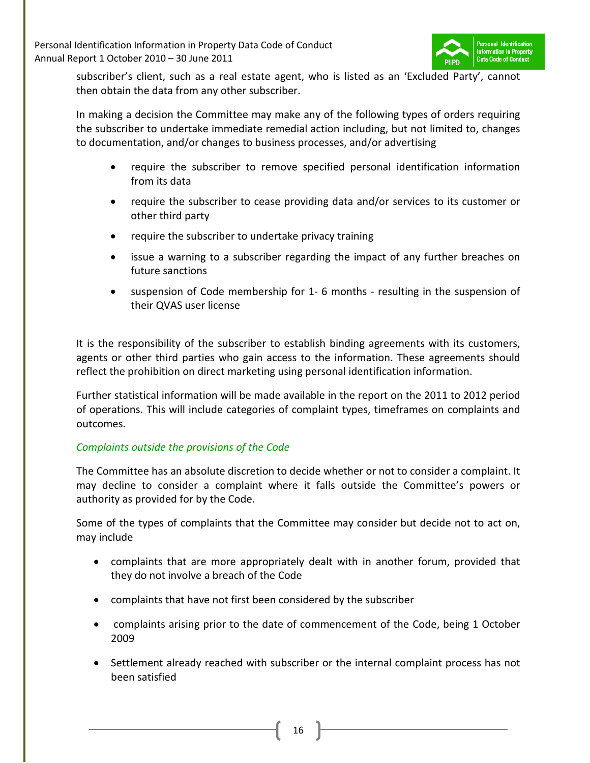

subscriber's client, such as a real estate agent, who is listed as an 'Excluded Party', cannot then obtain the data from any other subscriber.

In making a decision the Committee may make any of the following types of orders requiring the subscriber to undertake immediate remedial action including, but not limited to, changes to documentation, and/or changes to business processes, and/or advertising

- require the subscriber to remove specified personal identification information from its data
- require the subscriber to cease providing data and/or services to its customer or other third party
- require the subscriber to undertake privacy training
- issue a warning to a subscriber regarding the impact of any further breaches on future sanctions
- suspension of Code membership for 1- 6 months resulting in the suspension of their QVAS user license

It is the responsibility of the subscriber to establish binding agreements with its customers, agents or other third parties who gain access to the information. These agreements should reflect the prohibition on direct marketing using personal identification information.

Further statistical information will be made available in the report on the 2011 to 2012 period of operations. This will include categories of complaint types, timeframes on complaints and outcomes.

#### *Complaints outside the provisions of the Code*

The Committee has an absolute discretion to decide whether or not to consider a complaint. It may decline to consider a complaint where it falls outside the Committee's powers or authority as provided for by the Code.

Some of the types of complaints that the Committee may consider but decide not to act on, may include

- complaints that are more appropriately dealt with in another forum, provided that they do not involve a breach of the Code
- complaints that have not first been considered by the subscriber
- complaints arising prior to the date of commencement of the Code, being 1 October 2009
- Settlement already reached with subscriber or the internal complaint process has not been satisfied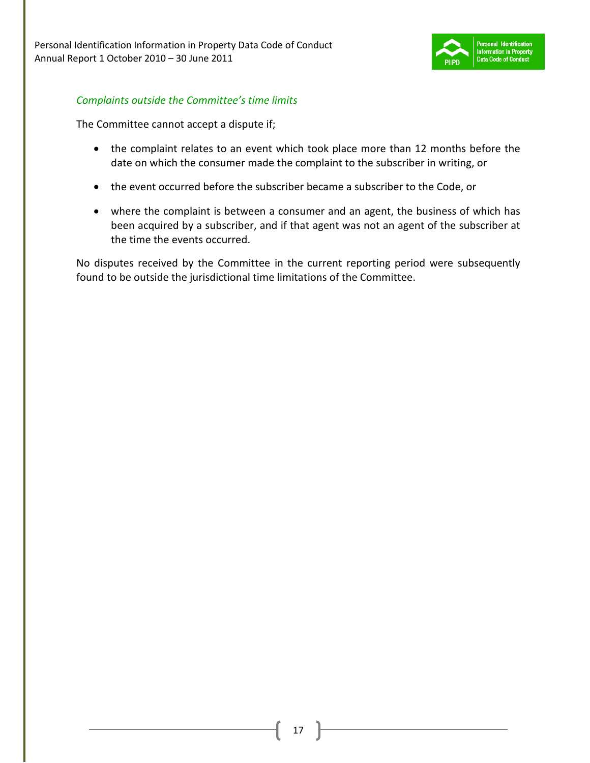

#### *Complaints outside the Committee's time limits*

The Committee cannot accept a dispute if;

- the complaint relates to an event which took place more than 12 months before the date on which the consumer made the complaint to the subscriber in writing, or
- the event occurred before the subscriber became a subscriber to the Code, or
- where the complaint is between a consumer and an agent, the business of which has been acquired by a subscriber, and if that agent was not an agent of the subscriber at the time the events occurred.

No disputes received by the Committee in the current reporting period were subsequently found to be outside the jurisdictional time limitations of the Committee.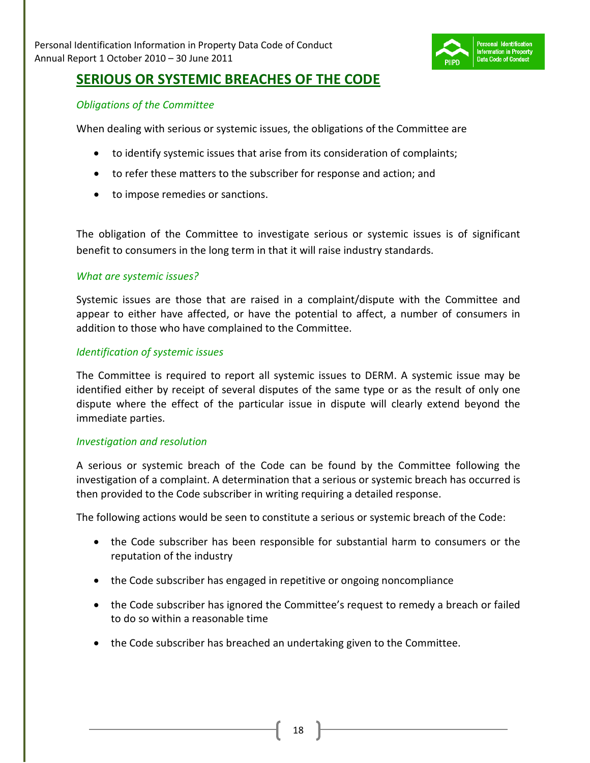

### **SERIOUS OR SYSTEMIC BREACHES OF THE CODE**

#### *Obligations of the Committee*

When dealing with serious or systemic issues, the obligations of the Committee are

- to identify systemic issues that arise from its consideration of complaints;
- to refer these matters to the subscriber for response and action; and
- to impose remedies or sanctions.

The obligation of the Committee to investigate serious or systemic issues is of significant benefit to consumers in the long term in that it will raise industry standards.

#### *What are systemic issues?*

Systemic issues are those that are raised in a complaint/dispute with the Committee and appear to either have affected, or have the potential to affect, a number of consumers in addition to those who have complained to the Committee.

#### *Identification of systemic issues*

The Committee is required to report all systemic issues to DERM. A systemic issue may be identified either by receipt of several disputes of the same type or as the result of only one dispute where the effect of the particular issue in dispute will clearly extend beyond the immediate parties.

#### *Investigation and resolution*

A serious or systemic breach of the Code can be found by the Committee following the investigation of a complaint. A determination that a serious or systemic breach has occurred is then provided to the Code subscriber in writing requiring a detailed response.

The following actions would be seen to constitute a serious or systemic breach of the Code:

- the Code subscriber has been responsible for substantial harm to consumers or the reputation of the industry
- the Code subscriber has engaged in repetitive or ongoing noncompliance
- the Code subscriber has ignored the Committee's request to remedy a breach or failed to do so within a reasonable time
- the Code subscriber has breached an undertaking given to the Committee.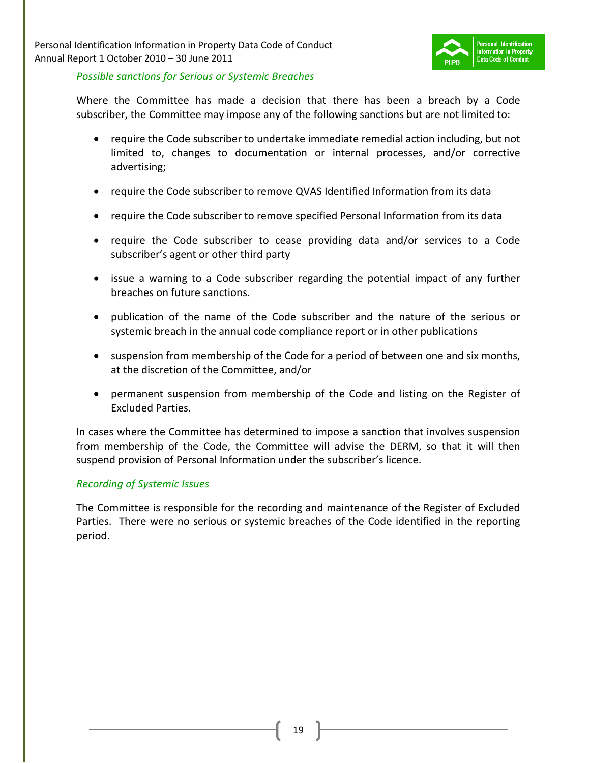

#### *Possible sanctions for Serious or Systemic Breaches*

Where the Committee has made a decision that there has been a breach by a Code subscriber, the Committee may impose any of the following sanctions but are not limited to:

- require the Code subscriber to undertake immediate remedial action including, but not limited to, changes to documentation or internal processes, and/or corrective advertising;
- require the Code subscriber to remove QVAS Identified Information from its data
- require the Code subscriber to remove specified Personal Information from its data
- require the Code subscriber to cease providing data and/or services to a Code subscriber's agent or other third party
- issue a warning to a Code subscriber regarding the potential impact of any further breaches on future sanctions.
- publication of the name of the Code subscriber and the nature of the serious or systemic breach in the annual code compliance report or in other publications
- suspension from membership of the Code for a period of between one and six months, at the discretion of the Committee, and/or
- permanent suspension from membership of the Code and listing on the Register of Excluded Parties.

In cases where the Committee has determined to impose a sanction that involves suspension from membership of the Code, the Committee will advise the DERM, so that it will then suspend provision of Personal Information under the subscriber's licence.

#### *Recording of Systemic Issues*

The Committee is responsible for the recording and maintenance of the Register of Excluded Parties. There were no serious or systemic breaches of the Code identified in the reporting period.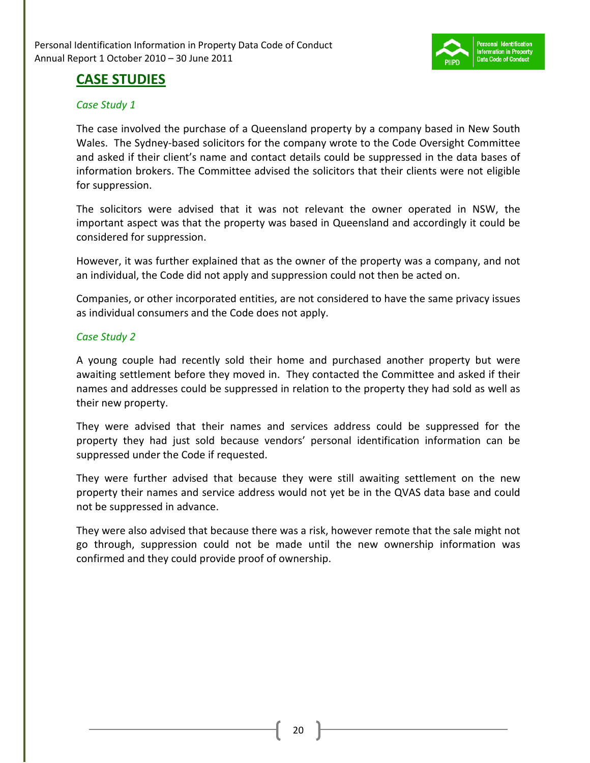

### **CASE STUDIES**

#### *Case Study 1*

The case involved the purchase of a Queensland property by a company based in New South Wales. The Sydney-based solicitors for the company wrote to the Code Oversight Committee and asked if their client's name and contact details could be suppressed in the data bases of information brokers. The Committee advised the solicitors that their clients were not eligible for suppression.

The solicitors were advised that it was not relevant the owner operated in NSW, the important aspect was that the property was based in Queensland and accordingly it could be considered for suppression.

However, it was further explained that as the owner of the property was a company, and not an individual, the Code did not apply and suppression could not then be acted on.

Companies, or other incorporated entities, are not considered to have the same privacy issues as individual consumers and the Code does not apply.

#### *Case Study 2*

A young couple had recently sold their home and purchased another property but were awaiting settlement before they moved in. They contacted the Committee and asked if their names and addresses could be suppressed in relation to the property they had sold as well as their new property.

They were advised that their names and services address could be suppressed for the property they had just sold because vendors' personal identification information can be suppressed under the Code if requested.

They were further advised that because they were still awaiting settlement on the new property their names and service address would not yet be in the QVAS data base and could not be suppressed in advance.

They were also advised that because there was a risk, however remote that the sale might not go through, suppression could not be made until the new ownership information was confirmed and they could provide proof of ownership.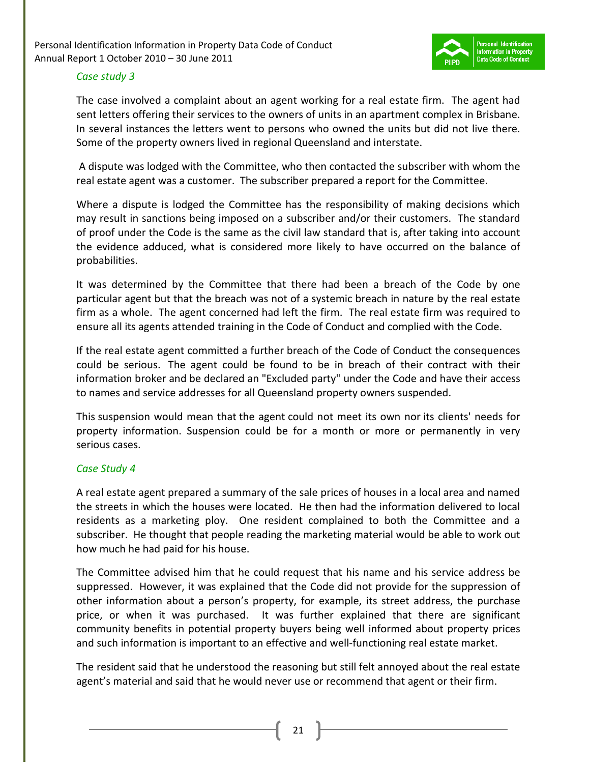

#### *Case study 3*

The case involved a complaint about an agent working for a real estate firm. The agent had sent letters offering their services to the owners of units in an apartment complex in Brisbane. In several instances the letters went to persons who owned the units but did not live there. Some of the property owners lived in regional Queensland and interstate.

 A dispute was lodged with the Committee, who then contacted the subscriber with whom the real estate agent was a customer. The subscriber prepared a report for the Committee.

Where a dispute is lodged the Committee has the responsibility of making decisions which may result in sanctions being imposed on a subscriber and/or their customers. The standard of proof under the Code is the same as the civil law standard that is, after taking into account the evidence adduced, what is considered more likely to have occurred on the balance of probabilities.

It was determined by the Committee that there had been a breach of the Code by one particular agent but that the breach was not of a systemic breach in nature by the real estate firm as a whole. The agent concerned had left the firm. The real estate firm was required to ensure all its agents attended training in the Code of Conduct and complied with the Code.

If the real estate agent committed a further breach of the Code of Conduct the consequences could be serious. The agent could be found to be in breach of their contract with their information broker and be declared an "Excluded party" under the Code and have their access to names and service addresses for all Queensland property owners suspended.

This suspension would mean that the agent could not meet its own nor its clients' needs for property information. Suspension could be for a month or more or permanently in very serious cases.

#### *Case Study 4*

A real estate agent prepared a summary of the sale prices of houses in a local area and named the streets in which the houses were located. He then had the information delivered to local residents as a marketing ploy. One resident complained to both the Committee and a subscriber. He thought that people reading the marketing material would be able to work out how much he had paid for his house.

The Committee advised him that he could request that his name and his service address be suppressed. However, it was explained that the Code did not provide for the suppression of other information about a person's property, for example, its street address, the purchase price, or when it was purchased. It was further explained that there are significant community benefits in potential property buyers being well informed about property prices and such information is important to an effective and well-functioning real estate market.

The resident said that he understood the reasoning but still felt annoyed about the real estate agent's material and said that he would never use or recommend that agent or their firm.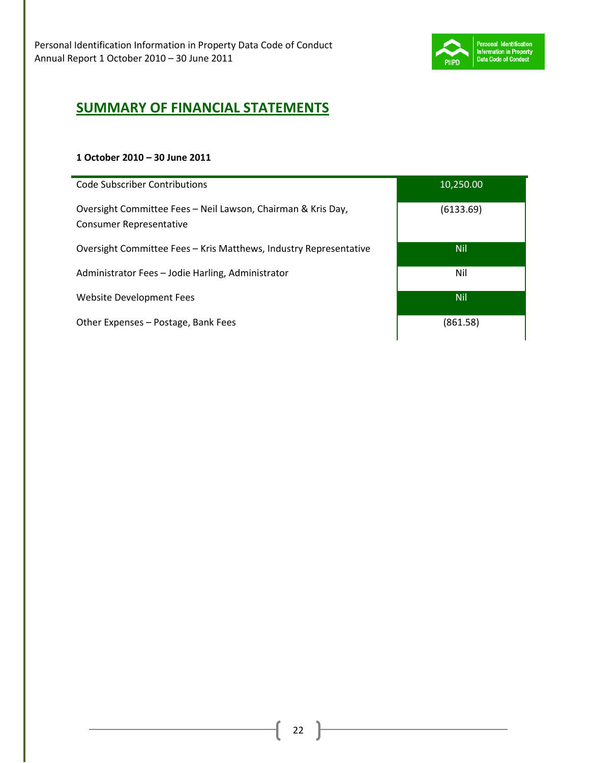

# **SUMMARY OF FINANCIAL STATEMENTS**

#### **1 October 2010 – 30 June 2011**

| <b>Code Subscriber Contributions</b>                                                           | 10,250.00  |
|------------------------------------------------------------------------------------------------|------------|
| Oversight Committee Fees - Neil Lawson, Chairman & Kris Day,<br><b>Consumer Representative</b> | (6133.69)  |
| Oversight Committee Fees – Kris Matthews, Industry Representative                              | <b>Nil</b> |
| Administrator Fees - Jodie Harling, Administrator                                              | Nil        |
| Website Development Fees                                                                       | <b>Nil</b> |
| Other Expenses – Postage, Bank Fees                                                            | (861.58)   |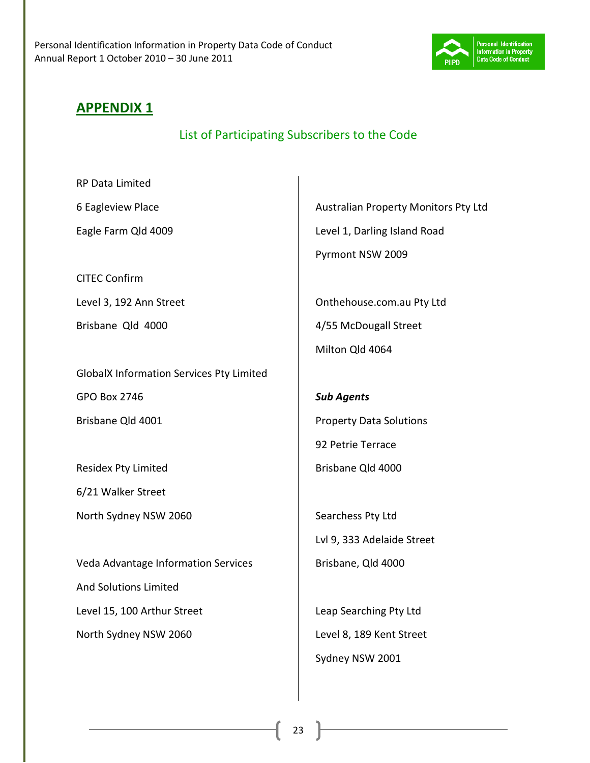

## **APPENDIX 1**

List of Participating Subscribers to the Code

RP Data Limited

6 Eagleview Place

Eagle Farm Qld 4009

CITEC Confirm

Level 3, 192 Ann Street

Brisbane Qld 4000

GlobalX Information Services Pty Limited GPO Box 2746 Brisbane Qld 4001

Residex Pty Limited

6/21 Walker Street

North Sydney NSW 2060

Veda Advantage Information Services And Solutions Limited Level 15, 100 Arthur Street North Sydney NSW 2060

Australian Property Monitors Pty Ltd Level 1, Darling Island Road Pyrmont NSW 2009

Onthehouse.com.au Pty Ltd 4/55 McDougall Street Milton Qld 4064

*Sub Agents*  Property Data Solutions 92 Petrie Terrace Brisbane Qld 4000

Searchess Pty Ltd Lvl 9, 333 Adelaide Street Brisbane, Qld 4000

Leap Searching Pty Ltd Level 8, 189 Kent Street Sydney NSW 2001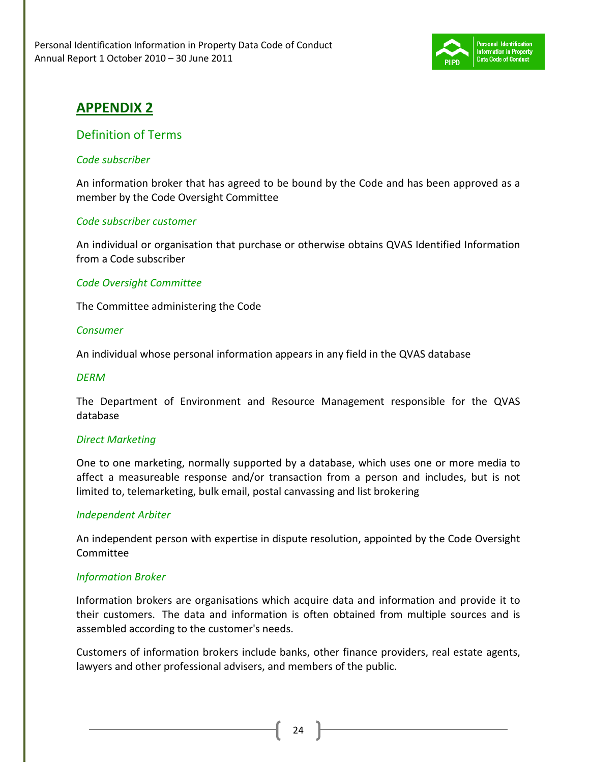

# **APPENDIX 2**

### Definition of Terms

#### *Code subscriber*

An information broker that has agreed to be bound by the Code and has been approved as a member by the Code Oversight Committee

#### *Code subscriber customer*

An individual or organisation that purchase or otherwise obtains QVAS Identified Information from a Code subscriber

#### *Code Oversight Committee*

The Committee administering the Code

#### *Consumer*

An individual whose personal information appears in any field in the QVAS database

#### *DERM*

The Department of Environment and Resource Management responsible for the QVAS database

#### *Direct Marketing*

One to one marketing, normally supported by a database, which uses one or more media to affect a measureable response and/or transaction from a person and includes, but is not limited to, telemarketing, bulk email, postal canvassing and list brokering

#### *Independent Arbiter*

An independent person with expertise in dispute resolution, appointed by the Code Oversight Committee

#### *Information Broker*

Information brokers are organisations which acquire data and information and provide it to their customers. The data and information is often obtained from multiple sources and is assembled according to the customer's needs.

Customers of information brokers include banks, other finance providers, real estate agents, lawyers and other professional advisers, and members of the public.